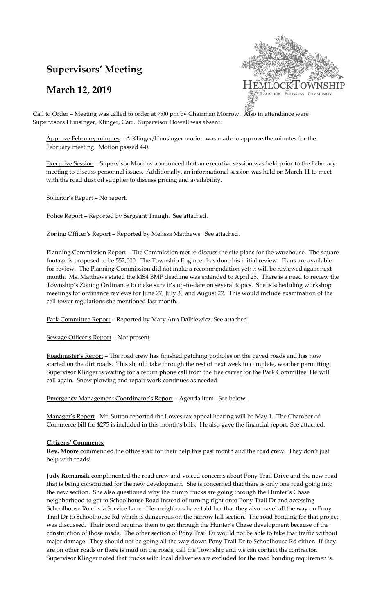# **Supervisors' Meeting**

## **March 12, 2019**



Call to Order – Meeting was called to order at 7:00 pm by Chairman Morrow. Also in attendance were Supervisors Hunsinger, Klinger, Carr. Supervisor Howell was absent.

Approve February minutes – A Klinger/Hunsinger motion was made to approve the minutes for the February meeting. Motion passed 4-0.

Executive Session – Supervisor Morrow announced that an executive session was held prior to the February meeting to discuss personnel issues. Additionally, an informational session was held on March 11 to meet with the road dust oil supplier to discuss pricing and availability.

Solicitor's Report – No report.

Police Report - Reported by Sergeant Traugh. See attached.

Zoning Officer's Report - Reported by Melissa Matthews. See attached.

Planning Commission Report - The Commission met to discuss the site plans for the warehouse. The square footage is proposed to be 552,000. The Township Engineer has done his initial review. Plans are available for review. The Planning Commission did not make a recommendation yet; it will be reviewed again next month. Ms. Matthews stated the MS4 BMP deadline was extended to April 25. There is a need to review the Township's Zoning Ordinance to make sure it's up-to-date on several topics. She is scheduling workshop meetings for ordinance reviews for June 27, July 30 and August 22. This would include examination of the cell tower regulations she mentioned last month.

Park Committee Report – Reported by Mary Ann Dalkiewicz. See attached.

Sewage Officer's Report – Not present.

Roadmaster's Report - The road crew has finished patching potholes on the paved roads and has now started on the dirt roads. This should take through the rest of next week to complete, weather permitting. Supervisor Klinger is waiting for a return phone call from the tree carver for the Park Committee. He will call again. Snow plowing and repair work continues as needed.

Emergency Management Coordinator's Report – Agenda item. See below.

Manager's Report –Mr. Sutton reported the Lowes tax appeal hearing will be May 1. The Chamber of Commerce bill for \$275 is included in this month's bills. He also gave the financial report. See attached.

#### **Citizens' Comments:**

**Rev. Moore** commended the office staff for their help this past month and the road crew. They don't just help with roads!

**Judy Romansik** complimented the road crew and voiced concerns about Pony Trail Drive and the new road that is being constructed for the new development. She is concerned that there is only one road going into the new section. She also questioned why the dump trucks are going through the Hunter's Chase neighborhood to get to Schoolhouse Road instead of turning right onto Pony Trail Dr and accessing Schoolhouse Road via Service Lane. Her neighbors have told her that they also travel all the way on Pony Trail Dr to Schoolhouse Rd which is dangerous on the narrow hill section. The road bonding for that project was discussed. Their bond requires them to got through the Hunter's Chase development because of the construction of those roads. The other section of Pony Trail Dr would not be able to take that traffic without major damage. They should not be going all the way down Pony Trail Dr to Schoolhouse Rd either. If they are on other roads or there is mud on the roads, call the Township and we can contact the contractor. Supervisor Klinger noted that trucks with local deliveries are excluded for the road bonding requirements.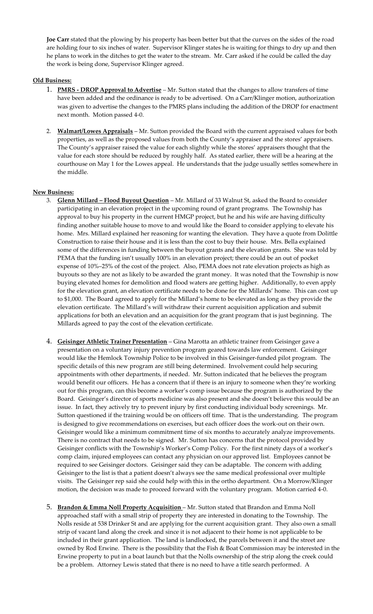**Joe Carr** stated that the plowing by his property has been better but that the curves on the sides of the road are holding four to six inches of water. Supervisor Klinger states he is waiting for things to dry up and then he plans to work in the ditches to get the water to the stream. Mr. Carr asked if he could be called the day the work is being done, Supervisor Klinger agreed.

### **Old Business:**

- 1. **PMRS - DROP Approval to Advertise** *–* Mr. Sutton stated that the changes to allow transfers of time have been added and the ordinance is ready to be advertised. On a Carr/Klinger motion, authorization was given to advertise the changes to the PMRS plans including the addition of the DROP for enactment next month. Motion passed 4-0.
- 2. **Walmart/Lowes Appraisals** Mr. Sutton provided the Board with the current appraised values for both properties, as well as the proposed values from both the County's appraiser and the stores' appraisers. The County's appraiser raised the value for each slightly while the stores' appraisers thought that the value for each store should be reduced by roughly half. As stated earlier, there will be a hearing at the courthouse on May 1 for the Lowes appeal. He understands that the judge usually settles somewhere in the middle.

#### **New Business:**

- 3. **Glenn Millard – Flood Buyout Question** Mr. Millard of 33 Walnut St, asked the Board to consider participating in an elevation project in the upcoming round of grant programs. The Township has approval to buy his property in the current HMGP project, but he and his wife are having difficulty finding another suitable house to move to and would like the Board to consider applying to elevate his home. Mrs. Millard explained her reasoning for wanting the elevation. They have a quote from Dolittle Construction to raise their house and it is less than the cost to buy their house. Mrs. Bella explained some of the differences in funding between the buyout grants and the elevation grants. She was told by PEMA that the funding isn't usually 100% in an elevation project; there could be an out of pocket expense of 10%–25% of the cost of the project. Also, PEMA does not rate elevation projects as high as buyouts so they are not as likely to be awarded the grant money. It was noted that the Township is now buying elevated homes for demolition and flood waters are getting higher. Additionally, to even apply for the elevation grant, an elevation certificate needs to be done for the Millards' home. This can cost up to \$1,000. The Board agreed to apply for the Millard's home to be elevated as long as they provide the elevation certificate. The Millard's will withdraw their current acquisition application and submit applications for both an elevation and an acquisition for the grant program that is just beginning. The Millards agreed to pay the cost of the elevation certificate.
- 4. **Geisinger Athletic Trainer Presentation** Gina Marotta an athletic trainer from Geisinger gave a presentation on a voluntary injury prevention program geared towards law enforcement. Geisinger would like the Hemlock Township Police to be involved in this Geisinger-funded pilot program. The specific details of this new program are still being determined. Involvement could help securing appointments with other departments, if needed. Mr. Sutton indicated that he believes the program would benefit our officers. He has a concern that if there is an injury to someone when they're working out for this program, can this become a worker's comp issue because the program is authorized by the Board. Geisinger's director of sports medicine was also present and she doesn't believe this would be an issue. In fact, they actively try to prevent injury by first conducting individual body screenings. Mr. Sutton questioned if the training would be on officers off time. That is the understanding. The program is designed to give recommendations on exercises, but each officer does the work-out on their own. Geisinger would like a minimum commitment time of six months to accurately analyze improvements. There is no contract that needs to be signed. Mr. Sutton has concerns that the protocol provided by Geisinger conflicts with the Township's Worker's Comp Policy. For the first ninety days of a worker's comp claim, injured employees can contact any physician on our approved list. Employees cannot be required to see Geisinger doctors. Geisinger said they can be adaptable. The concern with adding Geisinger to the list is that a patient doesn't always see the same medical professional over multiple visits. The Geisinger rep said she could help with this in the ortho department. On a Morrow/Klinger motion, the decision was made to proceed forward with the voluntary program. Motion carried 4-0.
- 5. **Brandon & Emma Noll Property Acquisition** Mr. Sutton stated that Brandon and Emma Noll approached staff with a small strip of property they are interested in donating to the Township. The Nolls reside at 538 Drinker St and are applying for the current acquisition grant. They also own a small strip of vacant land along the creek and since it is not adjacent to their home is not applicable to be included in their grant application. The land is landlocked, the parcels between it and the street are owned by Rod Erwine. There is the possibility that the Fish & Boat Commission may be interested in the Erwine property to put in a boat launch but that the Nolls ownership of the strip along the creek could be a problem. Attorney Lewis stated that there is no need to have a title search performed. A